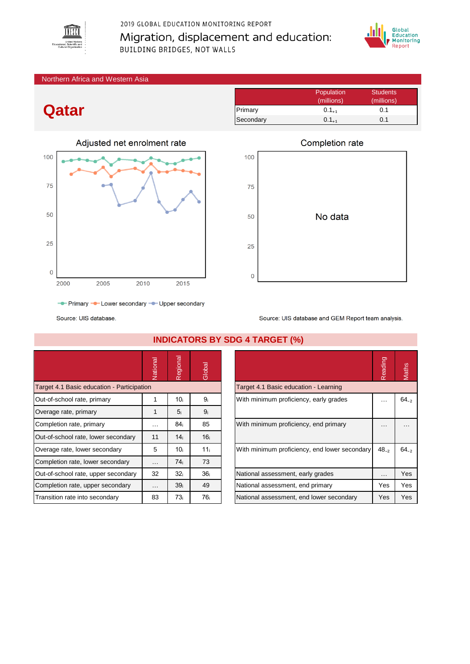

# 2019 GLOBAL EDUCATION MONITORING REPORT Migration, displacement and education: **BUILDING BRIDGES, NOT WALLS**



#### Northern Africa and Western Asia

# **Qatar**



- Primary - Lower secondary - Upper secondary

Source: UIS database

|                                            | Vational | Regional        | Global          |                                               | Reading   | Maths     |
|--------------------------------------------|----------|-----------------|-----------------|-----------------------------------------------|-----------|-----------|
| Target 4.1 Basic education - Participation |          |                 |                 | Target 4.1 Basic education - Learning         |           |           |
| Out-of-school rate, primary                |          | 10 <sub>i</sub> | 9 <sub>i</sub>  | With minimum proficiency, early grades        | .         | $64_{-2}$ |
| Overage rate, primary                      |          | 5 <sub>i</sub>  | 9 <sub>i</sub>  |                                               |           |           |
| Completion rate, primary                   | $\cdots$ | 84i             | 85              | With minimum proficiency, end primary         | .         | .         |
| Out-of-school rate, lower secondary        | 11       | 14 <sub>i</sub> | 16 <sub>i</sub> |                                               |           |           |
| Overage rate, lower secondary              | 5        | 10i             | 11 <sub>i</sub> | With minimum proficiency, end lower secondary | $48_{-2}$ | $64_{-2}$ |
| Completion rate, lower secondary           | $\cdots$ | 74 <sub>i</sub> | 73              |                                               |           |           |
| Out-of-school rate, upper secondary        | 32       | 32 <sub>i</sub> | 36 <sub>i</sub> | National assessment, early grades             | .         | Yes       |
| Completion rate, upper secondary           | $\cdots$ | 39 <sub>i</sub> | 49              | National assessment, end primary              | Yes       | Yes       |
| Transition rate into secondary             | 83       | 73i             | 76 i            | National assessment, end lower secondary      | Yes       | Yes       |

### **INDICATORS BY SDG 4 TARGET (%)**

|                                               | Reading | <b>Aaths</b> |
|-----------------------------------------------|---------|--------------|
| Target 4.1 Basic education - Learning         |         |              |
| With minimum proficiency, early grades        |         | $64_{-2}$    |
| With minimum proficiency, end primary         |         |              |
| With minimum proficiency, end lower secondary | 48.2    | $64_{-2}$    |
| National assessment, early grades             | .       | Yes          |
| National assessment, end primary              | Yes     | Yes          |
| National assessment, end lower secondary      | Yes     | Yes          |

# Completion rate

Primary 0.1<sub>+1</sub> 0.1 Secondary  $0.1_{+1}$  0.1

Population Students (millions) (millions)



Source: UIS database and GEM Report team analysis.